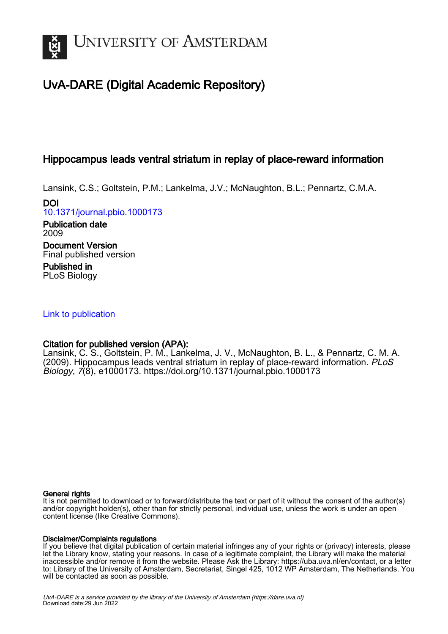

# UvA-DARE (Digital Academic Repository)

# Hippocampus leads ventral striatum in replay of place-reward information

Lansink, C.S.; Goltstein, P.M.; Lankelma, J.V.; McNaughton, B.L.; Pennartz, C.M.A.

DOI [10.1371/journal.pbio.1000173](https://doi.org/10.1371/journal.pbio.1000173)

Publication date 2009 Document Version Final published version

Published in PLoS Biology

# [Link to publication](https://dare.uva.nl/personal/pure/en/publications/hippocampus-leads-ventral-striatum-in-replay-of-placereward-information(56875561-56c3-4b1d-9168-cc7826ce1f03).html)

# Citation for published version (APA):

Lansink, C. S., Goltstein, P. M., Lankelma, J. V., McNaughton, B. L., & Pennartz, C. M. A. (2009). Hippocampus leads ventral striatum in replay of place-reward information. PLoS Biology, 7(8), e1000173. <https://doi.org/10.1371/journal.pbio.1000173>

# General rights

It is not permitted to download or to forward/distribute the text or part of it without the consent of the author(s) and/or copyright holder(s), other than for strictly personal, individual use, unless the work is under an open content license (like Creative Commons).

# Disclaimer/Complaints regulations

If you believe that digital publication of certain material infringes any of your rights or (privacy) interests, please let the Library know, stating your reasons. In case of a legitimate complaint, the Library will make the material inaccessible and/or remove it from the website. Please Ask the Library: https://uba.uva.nl/en/contact, or a letter to: Library of the University of Amsterdam, Secretariat, Singel 425, 1012 WP Amsterdam, The Netherlands. You will be contacted as soon as possible.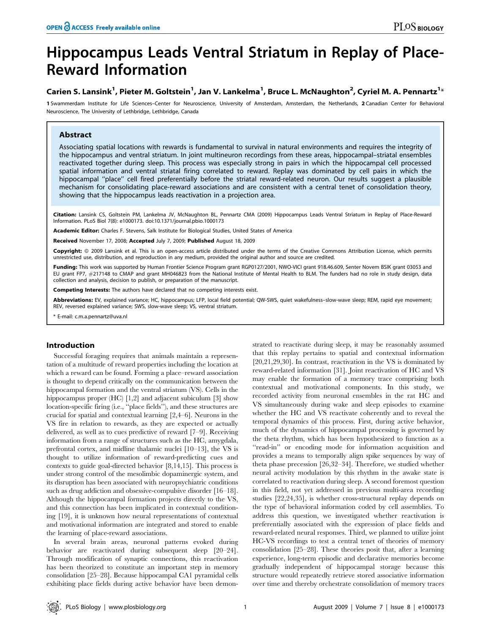# Hippocampus Leads Ventral Striatum in Replay of Place-Reward Information

# Carien S. Lansink<sup>1</sup>, Pieter M. Goltstein<sup>1</sup>, Jan V. Lankelma<sup>1</sup>, Bruce L. McNaughton<sup>2</sup>, Cyriel M. A. Pennartz<sup>1</sup>\*

1 Swammerdam Institute for Life Sciences–Center for Neuroscience, University of Amsterdam, Amsterdam, the Netherlands, 2 Canadian Center for Behavioral Neuroscience, The University of Lethbridge, Lethbridge, Canada

# Abstract

Associating spatial locations with rewards is fundamental to survival in natural environments and requires the integrity of the hippocampus and ventral striatum. In joint multineuron recordings from these areas, hippocampal–striatal ensembles reactivated together during sleep. This process was especially strong in pairs in which the hippocampal cell processed spatial information and ventral striatal firing correlated to reward. Replay was dominated by cell pairs in which the hippocampal "place" cell fired preferentially before the striatal reward-related neuron. Our results suggest a plausible mechanism for consolidating place-reward associations and are consistent with a central tenet of consolidation theory, showing that the hippocampus leads reactivation in a projection area.

Citation: Lansink CS, Goltstein PM, Lankelma JV, McNaughton BL, Pennartz CMA (2009) Hippocampus Leads Ventral Striatum in Replay of Place-Reward Information. PLoS Biol 7(8): e1000173. doi:10.1371/journal.pbio.1000173

Academic Editor: Charles F. Stevens, Salk Institute for Biological Studies, United States of America

Received November 17, 2008; Accepted July 7, 2009; Published August 18, 2009

Copyright: @ 2009 Lansink et al. This is an open-access article distributed under the terms of the Creative Commons Attribution License, which permits unrestricted use, distribution, and reproduction in any medium, provided the original author and source are credited.

Funding: This work was supported by Human Frontier Science Program grant RGP0127/2001, NWO-VICI grant 918.46.609, Senter Novem BSIK grant 03053 and EU grant FP7, *#*217148 to CMAP and grant MH046823 from the National Institute of Mental Health to BLM. The funders had no role in study design, data collection and analysis, decision to publish, or preparation of the manuscript.

Competing Interests: The authors have declared that no competing interests exist.

Abbreviations: EV, explained variance; HC, hippocampus; LFP, local field potential; QW-SWS, quiet wakefulness-slow-wave sleep; REM, rapid eye movement; REV, reversed explained variance; SWS, slow-wave sleep; VS, ventral striatum.

\* E-mail: c.m.a.pennartz@uva.nl

# Introduction

Successful foraging requires that animals maintain a representation of a multitude of reward properties including the location at which a reward can be found. Forming a place–reward association is thought to depend critically on the communication between the hippocampal formation and the ventral striatum (VS). Cells in the hippocampus proper (HC) [1,2] and adjacent subiculum [3] show location-specific firing (i.e., ''place fields''), and these structures are crucial for spatial and contextual learning [2,4–6]. Neurons in the VS fire in relation to rewards, as they are expected or actually delivered, as well as to cues predictive of reward [7–9]. Receiving information from a range of structures such as the HC, amygdala, prefrontal cortex, and midline thalamic nuclei [10–13], the VS is thought to utilize information of reward-predicting cues and contexts to guide goal-directed behavior [8,14,15]. This process is under strong control of the mesolimbic dopaminergic system, and its disruption has been associated with neuropsychiatric conditions such as drug addiction and obsessive-compulsive disorder [16–18]. Although the hippocampal formation projects directly to the VS, and this connection has been implicated in contextual conditioning [19], it is unknown how neural representations of contextual and motivational information are integrated and stored to enable the learning of place-reward associations.

In several brain areas, neuronal patterns evoked during behavior are reactivated during subsequent sleep [20–24]. Through modification of synaptic connections, this reactivation has been theorized to constitute an important step in memory consolidation [25–28]. Because hippocampal CA1 pyramidal cells exhibiting place fields during active behavior have been demonstrated to reactivate during sleep, it may be reasonably assumed that this replay pertains to spatial and contextual information [20,21,29,30]. In contrast, reactivation in the VS is dominated by reward-related information [31]. Joint reactivation of HC and VS may enable the formation of a memory trace comprising both contextual and motivational components. In this study, we recorded activity from neuronal ensembles in the rat HC and VS simultaneously during wake and sleep episodes to examine whether the HC and VS reactivate coherently and to reveal the temporal dynamics of this process. First, during active behavior, much of the dynamics of hippocampal processing is governed by the theta rhythm, which has been hypothesized to function as a "read-in" or encoding mode for information acquisition and provides a means to temporally align spike sequences by way of theta phase precession [26,32–34]. Therefore, we studied whether neural activity modulation by this rhythm in the awake state is correlated to reactivation during sleep. A second foremost question in this field, not yet addressed in previous multi-area recording studies [22,24,35], is whether cross-structural replay depends on the type of behavioral information coded by cell assemblies. To address this question, we investigated whether reactivation is preferentially associated with the expression of place fields and reward-related neural responses. Third, we planned to utilize joint HC-VS recordings to test a central tenet of theories of memory consolidation [25–28]. These theories posit that, after a learning experience, long-term episodic and declarative memories become gradually independent of hippocampal storage because this structure would repeatedly retrieve stored associative information over time and thereby orchestrate consolidation of memory traces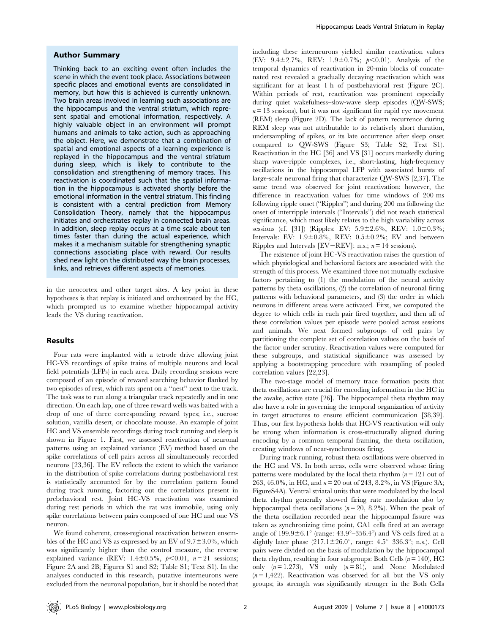#### Author Summary

Thinking back to an exciting event often includes the scene in which the event took place. Associations between specific places and emotional events are consolidated in memory, but how this is achieved is currently unknown. Two brain areas involved in learning such associations are the hippocampus and the ventral striatum, which represent spatial and emotional information, respectively. A highly valuable object in an environment will prompt humans and animals to take action, such as approaching the object. Here, we demonstrate that a combination of spatial and emotional aspects of a learning experience is replayed in the hippocampus and the ventral striatum during sleep, which is likely to contribute to the consolidation and strengthening of memory traces. This reactivation is coordinated such that the spatial information in the hippocampus is activated shortly before the emotional information in the ventral striatum. This finding is consistent with a central prediction from Memory Consolidation Theory, namely that the hippocampus initiates and orchestrates replay in connected brain areas. In addition, sleep replay occurs at a time scale about ten times faster than during the actual experience, which makes it a mechanism suitable for strengthening synaptic connections associating place with reward. Our results shed new light on the distributed way the brain processes, links, and retrieves different aspects of memories.

in the neocortex and other target sites. A key point in these hypotheses is that replay is initiated and orchestrated by the HC, which prompted us to examine whether hippocampal activity leads the VS during reactivation.

## Results

Four rats were implanted with a tetrode drive allowing joint HC-VS recordings of spike trains of multiple neurons and local field potentials (LFPs) in each area. Daily recording sessions were composed of an episode of reward searching behavior flanked by two episodes of rest, which rats spent on a ''nest'' next to the track. The task was to run along a triangular track repeatedly and in one direction. On each lap, one of three reward wells was baited with a drop of one of three corresponding reward types; i.e., sucrose solution, vanilla desert, or chocolate mousse. An example of joint HC and VS ensemble recordings during track running and sleep is shown in Figure 1. First, we assessed reactivation of neuronal patterns using an explained variance (EV) method based on the spike correlations of cell pairs across all simultaneously recorded neurons [23,36]. The EV reflects the extent to which the variance in the distribution of spike correlations during postbehavioral rest is statistically accounted for by the correlation pattern found during track running, factoring out the correlations present in prebehavioral rest. Joint HC-VS reactivation was examined during rest periods in which the rat was immobile, using only spike correlations between pairs composed of one HC and one VS neuron.

We found coherent, cross-regional reactivation between ensembles of the HC and VS as expressed by an EV of  $9.7\pm3.0\%$ , which was significantly higher than the control measure, the reverse explained variance (REV: 1.4±0.5%,  $p<0.01$ ,  $n=21$  sessions; Figure 2A and 2B; Figures S1 and S2; Table S1; Text S1). In the analyses conducted in this research, putative interneurons were excluded from the neuronal population, but it should be noted that

including these interneurons yielded similar reactivation values (EV:  $9.4 \pm 2.7\%$ , REV:  $1.9 \pm 0.7\%$ ;  $p < 0.01$ ). Analysis of the temporal dynamics of reactivation in 20-min blocks of concatenated rest revealed a gradually decaying reactivation which was significant for at least 1 h of postbehavioral rest (Figure 2C). Within periods of rest, reactivation was prominent especially during quiet wakefulness–slow-wave sleep episodes (QW-SWS;  $n = 13$  sessions), but it was not significant for rapid eye movement (REM) sleep (Figure 2D). The lack of pattern recurrence during REM sleep was not attributable to its relatively short duration, undersampling of spikes, or its late occurrence after sleep onset compared to QW-SWS (Figure S3; Table S2; Text S1). Reactivation in the HC [36] and VS [31] occurs markedly during sharp wave-ripple complexes, i.e., short-lasting, high-frequency oscillations in the hippocampal LFP with associated bursts of large-scale neuronal firing that characterize QW-SWS [2,37]. The same trend was observed for joint reactivation; however, the difference in reactivation values for time windows of 200 ms following ripple onset (''Ripples'') and during 200 ms following the onset of interripple intervals (''Intervals'') did not reach statistical significance, which most likely relates to the high variability across sessions (cf. [31]) (Ripples: EV:  $5.9 \pm 2.6\%$ , REV:  $1.0 \pm 0.3\%$ ; Intervals: EV:  $1.9\pm0.8\%$ , REV:  $0.5\pm0.2\%$ ; EV and between Ripples and Intervals [EV-REV]: n.s.;  $n = 14$  sessions).

The existence of joint HC-VS reactivation raises the question of which physiological and behavioral factors are associated with the strength of this process. We examined three not mutually exclusive factors pertaining to (1) the modulation of the neural activity patterns by theta oscillations, (2) the correlation of neuronal firing patterns with behavioral parameters, and (3) the order in which neurons in different areas were activated. First, we computed the degree to which cells in each pair fired together, and then all of these correlation values per episode were pooled across sessions and animals. We next formed subgroups of cell pairs by partitioning the complete set of correlation values on the basis of the factor under scrutiny. Reactivation values were computed for these subgroups, and statistical significance was assessed by applying a bootstrapping procedure with resampling of pooled correlation values [22,23].

The two-stage model of memory trace formation posits that theta oscillations are crucial for encoding information in the HC in the awake, active state [26]. The hippocampal theta rhythm may also have a role in governing the temporal organization of activity in target structures to ensure efficient communication [38,39]. Thus, our first hypothesis holds that HC-VS reactivation will only be strong when information is cross-structurally aligned during encoding by a common temporal framing, the theta oscillation, creating windows of near-synchronous firing.

During track running, robust theta oscillations were observed in the HC and VS. In both areas, cells were observed whose firing patterns were modulated by the local theta rhythm  $(n = 121)$  out of 263, 46.0%, in HC, and  $n = 20$  out of 243, 8.2%, in VS (Figure 3A; FigureS4A). Ventral striatal units that were modulated by the local theta rhythm generally showed firing rate modulation also by hippocampal theta oscillations ( $n = 20, 8.2\%$ ). When the peak of the theta oscillation recorded near the hippocampal fissure was taken as synchronizing time point, CA1 cells fired at an average angle of  $199.9\pm6.1^{\circ}$  (range:  $43.9^{\circ}-356.4^{\circ}$ ) and VS cells fired at a slightly later phase  $(217.1 \pm 26.0^{\circ})$ , range:  $4.5^{\circ}$ -336.3°; n.s.). Cell pairs were divided on the basis of modulation by the hippocampal theta rhythm, resulting in four subgroups: Both Cells ( $n = 140$ ), HC only  $(n=1,273)$ , VS only  $(n=81)$ , and None Modulated  $(n=1,422)$ . Reactivation was observed for all but the VS only groups; its strength was significantly stronger in the Both Cells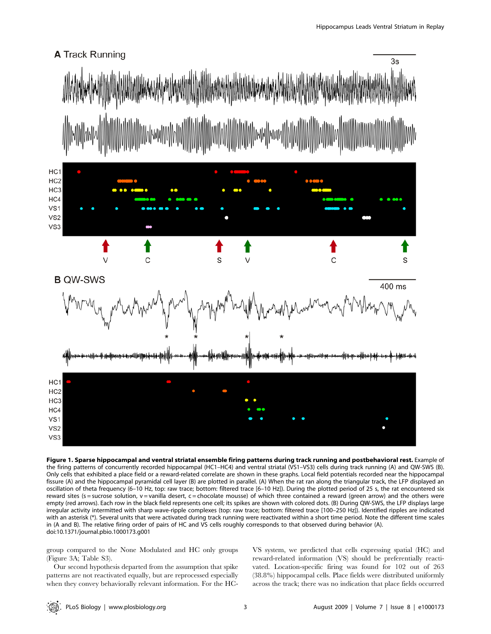

Figure 1. Sparse hippocampal and ventral striatal ensemble firing patterns during track running and postbehavioral rest. Example of the firing patterns of concurrently recorded hippocampal (HC1–HC4) and ventral striatal (VS1–VS3) cells during track running (A) and QW-SWS (B). Only cells that exhibited a place field or a reward-related correlate are shown in these graphs. Local field potentials recorded near the hippocampal fissure (A) and the hippocampal pyramidal cell layer (B) are plotted in parallel. (A) When the rat ran along the triangular track, the LFP displayed an oscillation of theta frequency (6–10 Hz, top: raw trace; bottom: filtered trace [6–10 Hz]). During the plotted period of 25 s, the rat encountered six reward sites (s = sucrose solution, v = vanilla desert, c = chocolate mousse) of which three contained a reward (green arrow) and the others were empty (red arrows). Each row in the black field represents one cell; its spikes are shown with colored dots. (B) During QW-SWS, the LFP displays large irregular activity intermitted with sharp wave-ripple complexes (top: raw trace; bottom: filtered trace [100–250 Hz]). Identified ripples are indicated with an asterisk (\*). Several units that were activated during track running were reactivated within a short time period. Note the different time scales in (A and B). The relative firing order of pairs of HC and VS cells roughly corresponds to that observed during behavior (A). doi:10.1371/journal.pbio.1000173.g001

group compared to the None Modulated and HC only groups (Figure 3A; Table S3).

Our second hypothesis departed from the assumption that spike patterns are not reactivated equally, but are reprocessed especially when they convey behaviorally relevant information. For the HC- VS system, we predicted that cells expressing spatial (HC) and reward-related information (VS) should be preferentially reactivated. Location-specific firing was found for 102 out of 263 (38.8%) hippocampal cells. Place fields were distributed uniformly across the track; there was no indication that place fields occurred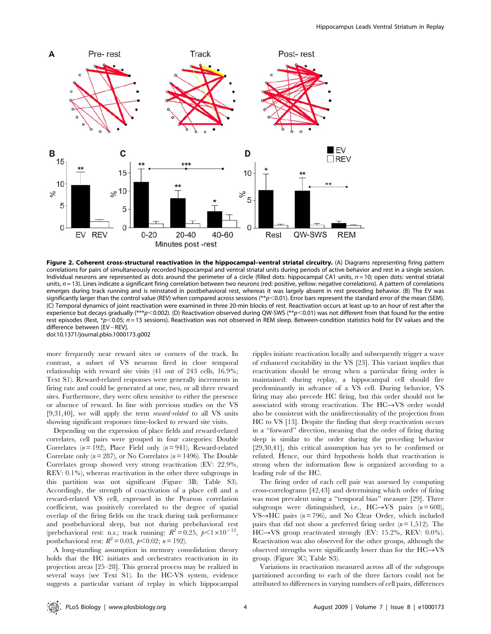

Figure 2. Coherent cross-structural reactivation in the hippocampal-ventral striatal circuitry. (A) Diagrams representing firing pattern correlations for pairs of simultaneously recorded hippocampal and ventral striatal units during periods of active behavior and rest in a single session. Individual neurons are represented as dots around the perimeter of a circle (filled dots: hippocampal CA1 units,  $n = 10$ ; open dots: ventral striatal units,  $n = 13$ ). Lines indicate a significant firing correlation between two neurons (red: positive, yellow: negative correlations). A pattern of correlations emerges during track running and is reinstated in postbehavioral rest, whereas it was largely absent in rest preceding behavior. (B) The EV was significantly larger than the control value (REV) when compared across sessions (\*\*p<0.01). Error bars represent the standard error of the mean (SEM). (C) Temporal dynamics of joint reactivation were examined in three 20-min blocks of rest. Reactivation occurs at least up to an hour of rest after the experience but decays gradually (\*\*\*p<0.002). (D) Reactivation observed during QW-SWS (\*\*p<0.01) was not different from that found for the entire rest episodes (Rest, \*p<0.05; n = 13 sessions). Reactivation was not observed in REM sleep. Between-condition statistics hold for EV values and the difference between [EV $-$ REV]. doi:10.1371/journal.pbio.1000173.g002

more frequently near reward sites or corners of the track. In contrast, a subset of VS neurons fired in close temporal relationship with reward site visits (41 out of 243 cells, 16.9%; Text S1). Reward-related responses were generally increments in firing rate and could be generated at one, two, or all three reward sites. Furthermore, they were often sensitive to either the presence or absence of reward. In line with previous studies on the VS [9,31,40], we will apply the term *reward-related* to all VS units showing significant responses time-locked to reward site visits.

Depending on the expression of place fields and reward-related correlates, cell pairs were grouped in four categories: Double Correlates ( $n = 192$ ), Place Field only ( $n = 941$ ), Reward-related Correlate only ( $n = 287$ ), or No Correlates ( $n = 1496$ ). The Double Correlates group showed very strong reactivation (EV: 22.9%, REV: 0.1%), whereas reactivation in the other three subgroups in this partition was not significant (Figure 3B; Table S3). Accordingly, the strength of coactivation of a place cell and a reward-related VS cell, expressed in the Pearson correlation coefficient, was positively correlated to the degree of spatial overlap of the firing fields on the track during task performance and postbehavioral sleep, but not during prebehavioral rest (prebehavioral rest: n.s.; track running:  $R^2 = 0.25$ ,  $p < 1 \times 10^{-12}$ , postbehavioral rest:  $R^2 = 0.03$ ,  $p < 0.02$ ;  $n = 192$ ).

A long-standing assumption in memory consolidation theory holds that the HC initiates and orchestrates reactivation in its projection areas [25–28]. This general process may be realized in several ways (see Text S1). In the HC-VS system, evidence suggests a particular variant of replay in which hippocampal ripples initiate reactivation locally and subsequently trigger a wave of enhanced excitability in the VS [23]. This variant implies that reactivation should be strong when a particular firing order is maintained: during replay, a hippocampal cell should fire predominantly in advance of a VS cell. During behavior, VS firing may also precede HC firing, but this order should not be associated with strong reactivation. The  $HC\rightarrow VS$  order would also be consistent with the unidirectionality of the projection from HC to VS [13]. Despite the finding that sleep reactivation occurs in a ''forward'' direction, meaning that the order of firing during sleep is similar to the order during the preceding behavior [29,30,41], this critical assumption has yet to be confirmed or refuted. Hence, our third hypothesis holds that reactivation is strong when the information flow is organized according to a leading role of the HC.

The firing order of each cell pair was assessed by computing cross-correlograms [42,43] and determining which order of firing was most prevalent using a ''temporal bias'' measure [29]. Three subgroups were distinguished, i.e., HC $\rightarrow$ VS pairs (n = 608), VS $\rightarrow$ HC pairs ( $n = 796$ ), and No Clear Order, which included pairs that did not show a preferred firing order  $(n = 1,512)$ . The  $HC \rightarrow VS$  group reactivated strongly (EV: 15.2%, REV: 0.0%). Reactivation was also observed for the other groups, although the observed strengths were significantly lower than for the  $HC\rightarrow VS$ group. (Figure 3C; Table S3).

Variations in reactivation measured across all of the subgroups partitioned according to each of the three factors could not be attributed to differences in varying numbers of cell pairs, differences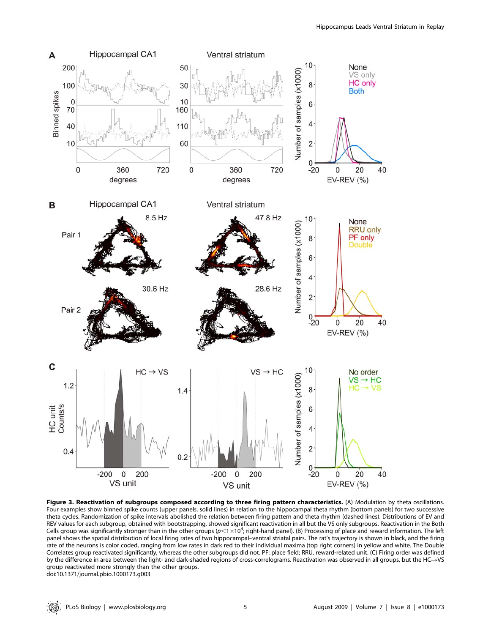

Figure 3. Reactivation of subgroups composed according to three firing pattern characteristics. (A) Modulation by theta oscillations. Four examples show binned spike counts (upper panels, solid lines) in relation to the hippocampal theta rhythm (bottom panels) for two successive theta cycles. Randomization of spike intervals abolished the relation between firing pattern and theta rhythm (dashed lines). Distributions of EV and REV values for each subgroup, obtained with bootstrapping, showed significant reactivation in all but the VS only subgroups. Reactivation in the Both Cells group was significantly stronger than in the other groups ( $p<1\times10^4$ ; right-hand panel). (B) Processing of place and reward information. The left panel shows the spatial distribution of local firing rates of two hippocampal–ventral striatal pairs. The rat's trajectory is shown in black, and the firing rate of the neurons is color coded, ranging from low rates in dark red to their individual maxima (top right corners) in yellow and white. The Double Correlates group reactivated significantly, whereas the other subgroups did not. PF: place field; RRU, reward-related unit. (C) Firing order was defined by the difference in area between the light- and dark-shaded regions of cross-correlograms. Reactivation was observed in all groups, but the HC->VS group reactivated more strongly than the other groups. doi:10.1371/journal.pbio.1000173.g003

 $\circledR$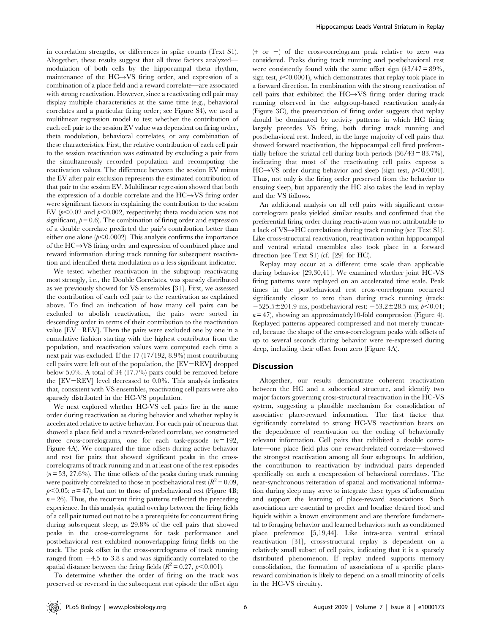in correlation strengths, or differences in spike counts (Text S1). Altogether, these results suggest that all three factors analyzed modulation of both cells by the hippocampal theta rhythm, maintenance of the  $HC\rightarrow VS$  firing order, and expression of a combination of a place field and a reward correlate—are associated with strong reactivation. However, since a reactivating cell pair may display multiple characteristics at the same time (e.g., behavioral correlates and a particular firing order; see Figure S4), we used a multilinear regression model to test whether the contribution of each cell pair to the session EV value was dependent on firing order, theta modulation, behavioral correlates, or any combination of these characteristics. First, the relative contribution of each cell pair to the session reactivation was estimated by excluding a pair from the simultaneously recorded population and recomputing the reactivation values. The difference between the session EV minus the EV after pair exclusion represents the estimated contribution of that pair to the session EV. Multilinear regression showed that both the expression of a double correlate and the  $HC\rightarrow VS$  firing order were significant factors in explaining the contribution to the session EV  $(p<0.02$  and  $p<0.002$ , respectively; theta modulation was not significant,  $p = 0.6$ ). The combination of firing order and expression of a double correlate predicted the pair's contribution better than either one alone  $(p<0.0002)$ . This analysis confirms the importance of the  $HC \rightarrow VS$  firing order and expression of combined place and reward information during track running for subsequent reactivation and identified theta modulation as a less significant indicator.

We tested whether reactivation in the subgroup reactivating most strongly, i.e., the Double Correlates, was sparsely distributed as we previously showed for VS ensembles [31]. First, we assessed the contribution of each cell pair to the reactivation as explained above. To find an indication of how many cell pairs can be excluded to abolish reactivation, the pairs were sorted in descending order in terms of their contribution to the reactivation value  $[EV-REV]$ . Then the pairs were excluded one by one in a cumulative fashion starting with the highest contributor from the population, and reactivation values were computed each time a next pair was excluded. If the 17 (17/192, 8.9%) most contributing cell pairs were left out of the population, the  $[EV-REV]$  dropped below 5.0%. A total of 34 (17.7%) pairs could be removed before the  $[EV-REV]$  level decreased to 0.0%. This analysis indicates that, consistent with VS ensembles, reactivating cell pairs were also sparsely distributed in the HC-VS population.

We next explored whether HC-VS cell pairs fire in the same order during reactivation as during behavior and whether replay is accelerated relative to active behavior. For each pair of neurons that showed a place field and a reward-related correlate, we constructed three cross-correlograms, one for each task-episode  $(n=192,$ Figure 4A). We compared the time offsets during active behavior and rest for pairs that showed significant peaks in the crosscorrelograms of track running and in at least one of the rest episodes  $(n = 53, 27.6\%)$ . The time offsets of the peaks during track running were positively correlated to those in postbehavioral rest ( $R^2 = 0.09$ ,  $p<0.05$ ;  $n = 47$ ), but not to those of prebehavioral rest (Figure 4B;  $n= 26$ ). Thus, the recurrent firing patterns reflected the preceding experience. In this analysis, spatial overlap between the firing fields of a cell pair turned out not to be a prerequisite for concurrent firing during subsequent sleep, as 29.8% of the cell pairs that showed peaks in the cross-correlograms for task performance and postbehavioral rest exhibited nonoverlapping firing fields on the track. The peak offset in the cross-correlograms of track running ranged from  $-4.5$  to 3.8 s and was significantly correlated to the spatial distance between the firing fields ( $R^2 = 0.27$ ,  $p < 0.001$ ).

To determine whether the order of firing on the track was preserved or reversed in the subsequent rest episode the offset sign  $(+ \text{ or } -)$  of the cross-correlogram peak relative to zero was considered. Peaks during track running and postbehavioral rest were consistently found with the same offset sign  $(43/47 = 89\%$ , sign test,  $p<0.0001$ ), which demonstrates that replay took place in a forward direction. In combination with the strong reactivation of cell pairs that exhibited the  $HC \rightarrow VS$  firing order during track running observed in the subgroup-based reactivation analysis (Figure 3C), the preservation of firing order suggests that replay should be dominated by activity patterns in which HC firing largely precedes VS firing, both during track running and postbehavioral rest. Indeed, in the large majority of cell pairs that showed forward reactivation, the hippocampal cell fired preferentially before the striatal cell during both periods  $(36/43 = 83.7\%)$ , indicating that most of the reactivating cell pairs express a  $HC\rightarrow VS$  order during behavior and sleep (sign test,  $p<0.0001$ ). Thus, not only is the firing order preserved from the behavior to ensuing sleep, but apparently the HC also takes the lead in replay and the VS follows.

An additional analysis on all cell pairs with significant crosscorrelogram peaks yielded similar results and confirmed that the preferential firing order during reactivation was not attributable to a lack of  $VS \rightarrow HC$  correlations during track running (see Text S1). Like cross-structural reactivation, reactivation within hippocampal and ventral striatal ensembles also took place in a forward direction (see Text S1) (cf. [29] for HC).

Replay may occur at a different time scale than applicable during behavior [29,30,41]. We examined whether joint HC-VS firing patterns were replayed on an accelerated time scale. Peak times in the postbehavioral rest cross-correlogram occurred significantly closer to zero than during track running (track:  $-525.5\pm201.9$  ms, postbehavioral rest:  $-53.2\pm28.5$  ms;  $p<0.01$ ;  $n = 47$ ), showing an approximately10-fold compression (Figure 4). Replayed patterns appeared compressed and not merely truncated, because the shape of the cross-correlogram peaks with offsets of up to several seconds during behavior were re-expressed during sleep, including their offset from zero (Figure 4A).

#### **Discussion**

Altogether, our results demonstrate coherent reactivation between the HC and a subcortical structure, and identify two major factors governing cross-structural reactivation in the HC-VS system, suggesting a plausible mechanism for consolidation of associative place-reward information. The first factor that significantly correlated to strong HC-VS reactivation bears on the dependence of reactivation on the coding of behaviorally relevant information. Cell pairs that exhibited a double correlate—one place field plus one reward-related correlate—showed the strongest reactivation among all four subgroups. In addition, the contribution to reactivation by individual pairs depended specifically on such a coexpression of behavioral correlates. The near-synchronous reiteration of spatial and motivational information during sleep may serve to integrate these types of information and support the learning of place-reward associations. Such associations are essential to predict and localize desired food and liquids within a known environment and are therefore fundamental to foraging behavior and learned behaviors such as conditioned place preference [5,19,44]. Like intra-area ventral striatal reactivation [31], cross-structural replay is dependent on a relatively small subset of cell pairs, indicating that it is a sparsely distributed phenomenon. If replay indeed supports memory consolidation, the formation of associations of a specific placereward combination is likely to depend on a small minority of cells in the HC-VS circuitry.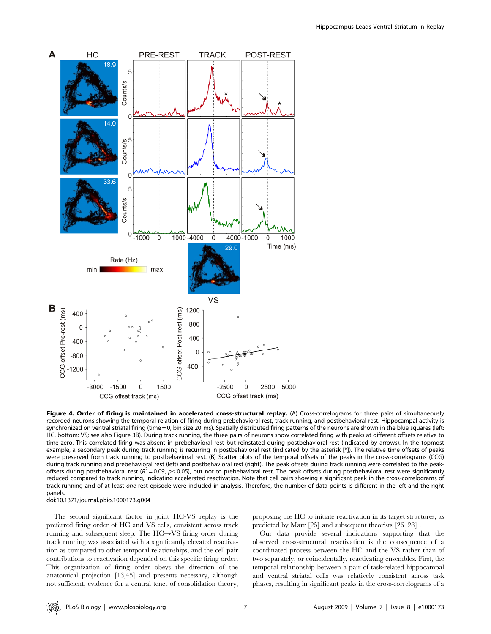

Figure 4. Order of firing is maintained in accelerated cross-structural replay. (A) Cross-correlograms for three pairs of simultaneously recorded neurons showing the temporal relation of firing during prebehavioral rest, track running, and postbehavioral rest. Hippocampal activity is synchronized on ventral striatal firing (time = 0, bin size 20 ms). Spatially distributed firing patterns of the neurons are shown in the blue squares (left: HC, bottom: VS; see also Figure 3B). During track running, the three pairs of neurons show correlated firing with peaks at different offsets relative to time zero. This correlated firing was absent in prebehavioral rest but reinstated during postbehavioral rest (indicated by arrows). In the topmost example, a secondary peak during track running is recurring in postbehavioral rest (indicated by the asterisk [\*]). The relative time offsets of peaks were preserved from track running to postbehavioral rest. (B) Scatter plots of the temporal offsets of the peaks in the cross-correlograms (CCG) during track running and prebehavioral rest (left) and postbehavioral rest (right). The peak offsets during track running were correlated to the peakoffsets during postbehavioral rest ( $R^2$  = 0.09,  $p$  < 0.05), but not to prebehavioral rest. The peak offsets during postbehavioral rest were significantly reduced compared to track running, indicating accelerated reactivation. Note that cell pairs showing a significant peak in the cross-correlograms of track running and of at least one rest episode were included in analysis. Therefore, the number of data points is different in the left and the right panels.

doi:10.1371/journal.pbio.1000173.g004

The second significant factor in joint HC-VS replay is the preferred firing order of HC and VS cells, consistent across track running and subsequent sleep. The HC $\rightarrow$ VS firing order during track running was associated with a significantly elevated reactivation as compared to other temporal relationships, and the cell pair contributions to reactivation depended on this specific firing order. This organization of firing order obeys the direction of the anatomical projection [13,45] and presents necessary, although not sufficient, evidence for a central tenet of consolidation theory, proposing the HC to initiate reactivation in its target structures, as predicted by Marr [25] and subsequent theorists [26–28] .

Our data provide several indications supporting that the observed cross-structural reactivation is the consequence of a coordinated process between the HC and the VS rather than of two separately, or coincidentally, reactivating ensembles. First, the temporal relationship between a pair of task-related hippocampal and ventral striatal cells was relatively consistent across task phases, resulting in significant peaks in the cross-correlograms of a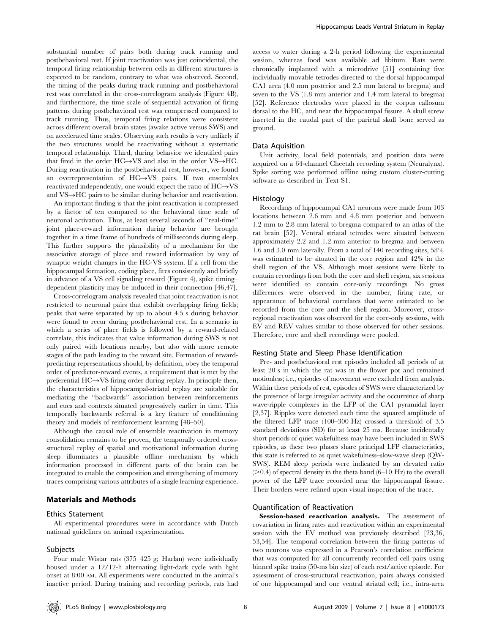substantial number of pairs both during track running and postbehavioral rest. If joint reactivation was just coincidental, the temporal firing relationship between cells in different structures is expected to be random, contrary to what was observed. Second, the timing of the peaks during track running and postbehavioral rest was correlated in the cross-correlogram analysis (Figure 4B), and furthermore, the time scale of sequential activation of firing patterns during postbehavioral rest was compressed compared to track running. Thus, temporal firing relations were consistent across different overall brain states (awake active versus SWS) and on accelerated time scales. Observing such results is very unlikely if the two structures would be reactivating without a systematic temporal relationship. Third, during behavior we identified pairs that fired in the order  $HC\rightarrow VS$  and also in the order VS $\rightarrow$ HC. During reactivation in the postbehavioral rest, however, we found an overrepresentation of  $HC \rightarrow VS$  pairs. If two ensembles reactivated independently, one would expect the ratio of  $HC\rightarrow VS$ and  $VS \rightarrow HC$  pairs to be similar during behavior and reactivation.

An important finding is that the joint reactivation is compressed by a factor of ten compared to the behavioral time scale of neuronal activation. Thus, at least several seconds of ''real-time'' joint place-reward information during behavior are brought together in a time frame of hundreds of milliseconds during sleep. This further supports the plausibility of a mechanism for the associative storage of place and reward information by way of synaptic weight changes in the HC-VS system. If a cell from the hippocampal formation, coding place, fires consistently and briefly in advance of a VS cell signaling reward (Figure 4), spike timing– dependent plasticity may be induced in their connection [46,47].

Cross-correlogram analysis revealed that joint reactivation is not restricted to neuronal pairs that exhibit overlapping firing fields; peaks that were separated by up to about 4.5 s during behavior were found to recur during postbehavioral rest. In a scenario in which a series of place fields is followed by a reward-related correlate, this indicates that value information during SWS is not only paired with locations nearby, but also with more remote stages of the path leading to the reward site. Formation of rewardpredicting representations should, by definition, obey the temporal order of predictor-reward events, a requirement that is met by the preferential  $HC \rightarrow VS$  firing order during replay. In principle then, the characteristics of hippocampal-striatal replay are suitable for mediating the ''backwards'' association between reinforcements and cues and contexts situated progressively earlier in time. This temporally backwards referral is a key feature of conditioning theory and models of reinforcement learning [48–50].

Although the causal role of ensemble reactivation in memory consolidation remains to be proven, the temporally ordered crossstructural replay of spatial and motivational information during sleep illuminates a plausible offline mechanism by which information processed in different parts of the brain can be integrated to enable the composition and strengthening of memory traces comprising various attributes of a single learning experience.

# Materials and Methods

### Ethics Statement

All experimental procedures were in accordance with Dutch national guidelines on animal experimentation.

# Subjects

Four male Wistar rats (375–425 g; Harlan) were individually housed under a 12/12-h alternating light-dark cycle with light onset at 8:00 AM. All experiments were conducted in the animal's inactive period. During training and recording periods, rats had access to water during a 2-h period following the experimental session, whereas food was available ad libitum. Rats were chronically implanted with a microdrive [51] containing five individually movable tetrodes directed to the dorsal hippocampal CA1 area (4.0 mm posterior and 2.5 mm lateral to bregma) and seven to the VS (1.8 mm anterior and 1.4 mm lateral to bregma) [52]. Reference electrodes were placed in the corpus callosum dorsal to the HC, and near the hippocampal fissure. A skull screw inserted in the caudal part of the parietal skull bone served as ground.

#### Data Aquisition

Unit activity, local field potentials, and position data were acquired on a 64-channel Cheetah recording system (Neuralynx). Spike sorting was performed offline using custom cluster-cutting software as described in Text S1.

#### Histology

Recordings of hippocampal CA1 neurons were made from 103 locations between 2.6 mm and 4.8 mm posterior and between 1.2 mm to 2.8 mm lateral to bregma compared to an atlas of the rat brain [52]. Ventral striatal tetrodes were situated between approximately 2.2 and 1.2 mm anterior to bregma and between 1.6 and 3.0 mm laterally. From a total of 140 recording sites, 58% was estimated to be situated in the core region and 42% in the shell region of the VS. Although most sessions were likely to contain recordings from both the core and shell region, six sessions were identified to contain core-only recordings. No gross differences were observed in the number, firing rate, or appearance of behavioral correlates that were estimated to be recorded from the core and the shell region. Moreover, crossregional reactivation was observed for the core-only sessions, with EV and REV values similar to those observed for other sessions. Therefore, core and shell recordings were pooled.

## Resting State and Sleep Phase Identification

Pre- and postbehavioral rest episodes included all periods of at least 20 s in which the rat was in the flower pot and remained motionless; i.e., episodes of movement were excluded from analysis. Within these periods of rest, episodes of SWS were characterized by the presence of large irregular activity and the occurrence of sharp wave-ripple complexes in the LFP of the CA1 pyramidal layer [2,37]. Ripples were detected each time the squared amplitude of the filtered LFP trace (100–300 Hz) crossed a threshold of 3.5 standard deviations (SD) for at least 25 ms. Because incidentally short periods of quiet wakefulness may have been included in SWS episodes, as these two phases share principal LFP characteristics, this state is referred to as quiet wakefulness–slow-wave sleep (QW-SWS). REM sleep periods were indicated by an elevated ratio  $(>0.4)$  of spectral density in the theta band  $(6-10 \text{ Hz})$  to the overall power of the LFP trace recorded near the hippocampal fissure. Their borders were refined upon visual inspection of the trace.

## Quantification of Reactivation

Session-based reactivation analysis. The assessment of covariation in firing rates and reactivation within an experimental session with the EV method was previously described [23,36, 53,54]. The temporal correlation between the firing patterns of two neurons was expressed in a Pearson's correlation coefficient that was computed for all concurrently recorded cell pairs using binned spike trains (50-ms bin size) of each rest/active episode. For assessment of cross-structural reactivation, pairs always consisted of one hippocampal and one ventral striatal cell; i.e., intra-area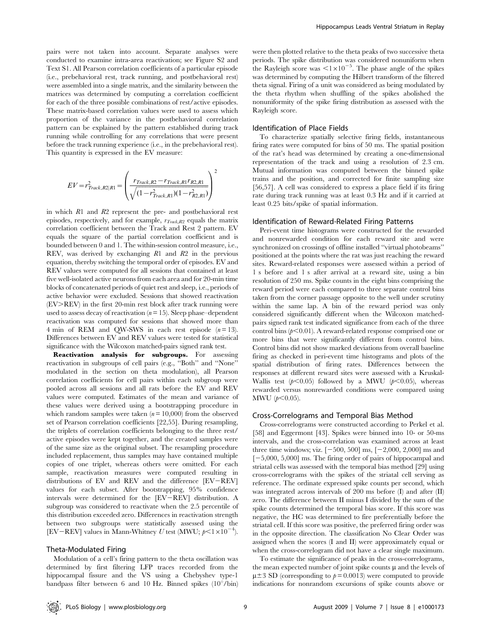pairs were not taken into account. Separate analyses were conducted to examine intra-area reactivation; see Figure S2 and Text S1. All Pearson correlation coefficients of a particular episode (i.e., prebehavioral rest, track running, and postbehavioral rest) were assembled into a single matrix, and the similarity between the matrices was determined by computing a correlation coefficient for each of the three possible combinations of rest/active episodes. These matrix-based correlation values were used to assess which proportion of the variance in the postbehavioral correlation pattern can be explained by the pattern established during track running while controlling for any correlations that were present before the track running experience (i.e., in the prebehavioral rest). This quantity is expressed in the EV measure:

$$
EV = r_{Track,R2|R1}^2 = \left(\frac{r_{Track,R2} - r_{Track,R1}r_{R2,R1}}{\sqrt{(1 - r_{Track,R1}^2)(1 - r_{R2,R1}^2)}}\right)^2
$$

in which R1 and R2 represent the pre- and postbehavioral rest episodes, respectively, and for example,  $r_{Track,R2}$  equals the matrix correlation coefficient between the Track and Rest 2 pattern. EV equals the square of the partial correlation coefficient and is bounded between 0 and 1. The within-session control measure, i.e., REV, was derived by exchanging  $R1$  and  $R2$  in the previous equation, thereby switching the temporal order of episodes. EV and REV values were computed for all sessions that contained at least five well-isolated active neurons from each area and for 20-min time blocks of concatenated periods of quiet rest and sleep, i.e., periods of active behavior were excluded. Sessions that showed reactivation  $(EV>REV)$  in the first 20-min rest block after track running were used to assess decay of reactivation  $(n = 15)$ . Sleep phase–dependent reactivation was computed for sessions that showed more than 4 min of REM and OW-SWS in each rest episode  $(n=13)$ . Differences between EV and REV values were tested for statistical significance with the Wilcoxon matched-pairs signed rank test.

Reactivation analysis for subgroups. For assessing reactivation in subgroups of cell pairs (e.g., ''Both'' and ''None'' modulated in the section on theta modulation), all Pearson correlation coefficients for cell pairs within each subgroup were pooled across all sessions and all rats before the EV and REV values were computed. Estimates of the mean and variance of these values were derived using a bootstrapping procedure in which random samples were taken ( $n = 10,000$ ) from the observed set of Pearson correlation coefficients [22,55]. During resampling, the triplets of correlation coefficients belonging to the three rest/ active episodes were kept together, and the created samples were of the same size as the original subset. The resampling procedure included replacement, thus samples may have contained multiple copies of one triplet, whereas others were omitted. For each sample, reactivation measures were computed resulting in distributions of EV and REV and the difference  $[EV-REV]$ values for each subset. After bootstrapping, 95% confidence intervals were determined for the  $[EV-REV]$  distribution. A subgroup was considered to reactivate when the 2.5 percentile of this distribution exceeded zero. Differences in reactivation strength between two subgroups were statistically assessed using the [EV-REV] values in Mann-Whitney U test (MWU;  $p<1\times10^{-4}$ ).

# Theta-Modulated Firing

Modulation of a cell's firing pattern to the theta oscillation was determined by first filtering LFP traces recorded from the hippocampal fissure and the VS using a Chebyshev type-1 bandpass filter between 6 and 10 Hz. Binned spikes  $(10^{\circ}/\text{bin})$ 

were then plotted relative to the theta peaks of two successive theta periods. The spike distribution was considered nonuniform when the Rayleigh score was  $\leq 1 \times 10^{-5}$ . The phase angle of the spikes was determined by computing the Hilbert transform of the filtered theta signal. Firing of a unit was considered as being modulated by the theta rhythm when shuffling of the spikes abolished the nonuniformity of the spike firing distribution as assessed with the Rayleigh score.

## Identification of Place Fields

To characterize spatially selective firing fields, instantaneous firing rates were computed for bins of 50 ms. The spatial position of the rat's head was determined by creating a one-dimensional representation of the track and using a resolution of 2.3 cm. Mutual information was computed between the binned spike trains and the position, and corrected for finite sampling size [56,57]. A cell was considered to express a place field if its firing rate during track running was at least 0.3 Hz and if it carried at least 0.25 bits/spike of spatial information.

#### Identification of Reward-Related Firing Patterns

Peri-event time histograms were constructed for the rewarded and nonrewarded condition for each reward site and were synchronized on crossings of offline installed ''virtual photobeams'' positioned at the points where the rat was just reaching the reward sites. Reward-related responses were assessed within a period of 1 s before and 1 s after arrival at a reward site, using a bin resolution of 250 ms. Spike counts in the eight bins comprising the reward period were each compared to three separate control bins taken from the corner passage opposite to the well under scrutiny within the same lap. A bin of the reward period was only considered significantly different when the Wilcoxon matchedpairs signed rank test indicated significance from each of the three control bins  $(p<0.01)$ . A reward-related response comprised one or more bins that were significantly different from control bins. Control bins did not show marked deviations from overall baseline firing as checked in peri-event time histograms and plots of the spatial distribution of firing rates. Differences between the responses at different reward sites were assessed with a Kruskal-Wallis test ( $p<0.05$ ) followed by a MWU ( $p<0.05$ ), whereas rewarded versus nonrewarded conditions were compared using MWU  $(p<0.05)$ .

#### Cross-Correlograms and Temporal Bias Method

Cross-correlograms were constructed according to Perkel et al. [58] and Eggermont [43]. Spikes were binned into 10- or 50-ms intervals, and the cross-correlation was examined across at least three time windows; viz.  $[-500, 500]$  ms,  $[-2,000, 2,000]$  ms and  $[-5,000, 5,000]$  ms. The firing order of pairs of hippocampal and striatal cells was assessed with the temporal bias method [29] using cross-correlograms with the spikes of the striatal cell serving as reference. The ordinate expressed spike counts per second, which was integrated across intervals of 200 ms before (I) and after (II) zero. The difference between II minus I divided by the sum of the spike counts determined the temporal bias score. If this score was negative, the HC was determined to fire preferentially before the striatal cell. If this score was positive, the preferred firing order was in the opposite direction. The classification No Clear Order was assigned when the scores (I and II) were approximately equal or when the cross-correlogram did not have a clear single maximum.

To estimate the significance of peaks in the cross-correlograms, the mean expected number of joint spike counts  $\mu$  and the levels of  $\mu \pm 3$  SD (corresponding to  $p = 0.0013$ ) were computed to provide indications for nonrandom excursions of spike counts above or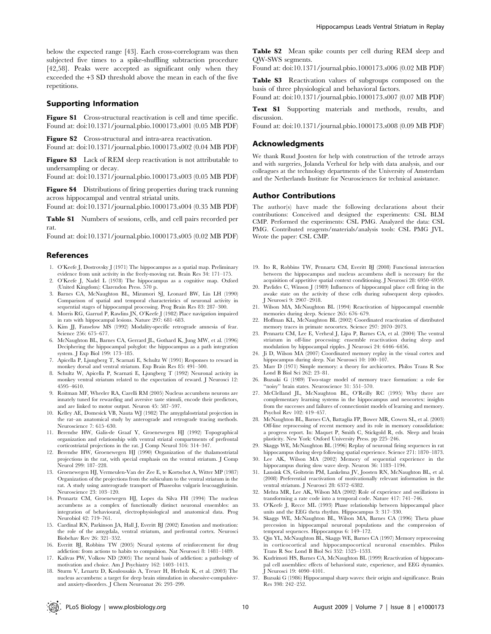below the expected range [43]. Each cross-correlogram was then subjected five times to a spike-shuffling subtraction procedure [42,58]. Peaks were accepted as significant only when they exceeded the +3 SD threshold above the mean in each of the five repetitions.

## Supporting Information

Figure S1 Cross-structural reactivation is cell and time specific. Found at: doi:10.1371/journal.pbio.1000173.s001 (0.05 MB PDF)

Figure S2 Cross-structural and intra-area reactivation. Found at: doi:10.1371/journal.pbio.1000173.s002 (0.04 MB PDF)

Figure S3 Lack of REM sleep reactivation is not attributable to undersampling or decay.

Found at: doi:10.1371/journal.pbio.1000173.s003 (0.05 MB PDF)

Figure S4 Distributions of firing properties during track running across hippocampal and ventral striatal units.

Found at: doi:10.1371/journal.pbio.1000173.s004 (0.35 MB PDF)

Table S1 Numbers of sessions, cells, and cell pairs recorded per rat.

Found at: doi:10.1371/journal.pbio.1000173.s005 (0.02 MB PDF)

#### References

- 1. O'Keefe J, Dostrovsky J (1971) The hippocampus as a spatial map. Preliminary evidence from unit activity in the freely-moving rat. Brain Res 34: 171–175.
- 2. O'Keefe J, Nadel L (1978) The hippocampus as a cognitive map. Oxford (United Kingdom): Clarendon Press. 570 p.
- 3. Barnes CA, McNaughton BL, Mizumori SJ, Leonard BW, Lin LH (1990) Comparison of spatial and temporal characteristics of neuronal activity in sequential stages of hippocampal processing. Prog Brain Res 83: 287–300.
- 4. Morris RG, Garrud P, Rawlins JN, O'Keefe J (1982) Place navigation impaired in rats with hippocampal lesions. Nature 297: 681–683.
- 5. Kim JJ, Fanselow MS (1992) Modality-specific retrograde amnesia of fear. Science 256: 675–677.
- 6. McNaughton BL, Barnes CA, Gerrard JL, Gothard K, Jung MW, et al. (1996) Deciphering the hippocampal polyglot: the hippocampus as a path integration system. J Exp Biol 199: 173–185.
- 7. Apicella P, Ljungberg T, Scarnati E, Schultz W (1991) Responses to reward in monkey dorsal and ventral striatum. Exp Brain Res 85: 491–500.
- 8. Schultz W, Apicella P, Scarnati E, Ljungberg T (1992) Neuronal activity in monkey ventral striatum related to the expectation of reward. J Neurosci 12: 4595–4610.
- 9. Roitman MF, Wheeler RA, Carelli RM (2005) Nucleus accumbens neurons are innately tuned for rewarding and aversive taste stimuli, encode their predictors, and are linked to motor output. Neuron 45: 587–597.
- 10. Kelley AE, Domesick VB, Nauta WJ (1982) The amygdalostriatal projection in the rat–an anatomical study by anterograde and retrograde tracing methods. Neuroscience 7: 615–630.
- 11. Berendse HW, Galis-de Graaf Y, Groenewegen HJ (1992) Topographical organization and relationship with ventral striatal compartments of prefrontal corticostriatal projections in the rat. J Comp Neurol 316: 314–347.
- 12. Berendse HW, Groenewegen HJ (1990) Organization of the thalamostriatal projections in the rat, with special emphasis on the ventral striatum. J Comp Neurol 299: 187–228.
- 13. Groenewegen HJ, Vermeulen-Van der Zee E, te Kortschot A, Witter MP (1987) Organization of the projections from the subiculum to the ventral striatum in the rat. A study using anterograde transport of Phaseolus vulgaris leucoagglutinin. Neuroscience 23: 103–120.
- 14. Pennartz CM, Groenewegen HJ, Lopes da Silva FH (1994) The nucleus accumbens as a complex of functionally distinct neuronal ensembles: an integration of behavioural, electrophysiological and anatomical data. Prog Neurobiol 42: 719–761.
- 15. Cardinal RN, Parkinson JA, Hall J, Everitt BJ (2002) Emotion and motivation: the role of the amygdala, ventral striatum, and prefrontal cortex. Neurosci Biobehav Rev 26: 321–352.
- 16. Everitt BJ, Robbins TW (2005) Neural systems of reinforcement for drug addiction: from actions to habits to compulsion. Nat Neurosci 8: 1481–1489.
- 17. Kalivas PW, Volkow ND (2005) The neural basis of addiction: a pathology of motivation and choice. Am J Psychiatry 162: 1403–1413.
- 18. Sturm V, Lenartz D, Koulousakis A, Treuer H, Herholz K, et al. (2003) The nucleus accumbens: a target for deep brain stimulation in obsessive-compulsiveand anxiety-disorders. J Chem Neuroanat 26: 293–299.

Table S2 Mean spike counts per cell during REM sleep and QW-SWS segments.

Found at: doi:10.1371/journal.pbio.1000173.s006 (0.02 MB PDF)

Table S3 Reactivation values of subgroups composed on the basis of three physiological and behavioral factors.

Found at: doi:10.1371/journal.pbio.1000173.s007 (0.07 MB PDF)

Text S1 Supporting materials and methods, results, and discussion.

Found at: doi:10.1371/journal.pbio.1000173.s008 (0.09 MB PDF)

# Acknowledgments

We thank Ruud Joosten for help with construction of the tetrode arrays and with surgeries, Jolanda Verheul for help with data analysis, and our colleagues at the technology departments of the University of Amsterdam and the Netherlands Institute for Neurosciences for technical assistance.

#### Author Contributions

The author(s) have made the following declarations about their contributions: Conceived and designed the experiments: CSL BLM CMP. Performed the experiments: CSL PMG. Analyzed the data: CSL PMG. Contributed reagents/materials/analysis tools: CSL PMG JVL. Wrote the paper: CSL CMP.

- 19. Ito R, Robbins TW, Pennartz CM, Everitt BJ (2008) Functional interaction between the hippocampus and nucleus accumbens shell is necessary for the acquisition of appetitive spatial context conditioning. J Neurosci 28: 6950–6959.
- 20. Pavlides C, Winson J (1989) Influences of hippocampal place cell firing in the awake state on the activity of these cells during subsequent sleep episodes. J Neurosci 9: 2907–2918.
- 21. Wilson MA, McNaughton BL (1994) Reactivation of hippocampal ensemble memories during sleep. Science 265: 676–679.
- 22. Hoffman KL, McNaughton BL (2002) Coordinated reactivation of distributed memory traces in primate neocortex. Science 297: 2070–2073.
- 23. Pennartz CM, Lee E, Verheul J, Lipa P, Barnes CA, et al. (2004) The ventral striatum in off-line processing: ensemble reactivation during sleep and modulation by hippocampal ripples. J Neurosci 24: 6446–6456.
- 24. Ji D, Wilson MA (2007) Coordinated memory replay in the visual cortex and hippocampus during sleep. Nat Neurosci 10: 100–107.
- 25. Marr D (1971) Simple memory: a theory for archicortex. Philos Trans R Soc Lond B Biol Sci 262: 23–81.
- 26. Buzsaki G (1989) Two-stage model of memory trace formation: a role for ''noisy'' brain states. Neuroscience 31: 551–570.
- 27. McClelland JL, McNaughton BL, O'Reilly RC (1995) Why there are complementary learning systems in the hippocampus and neocortex: insights from the successes and failures of connectionist models of learning and memory. Psychol Rev 102: 419–457.
- 28. McNaughton BL, Barnes CA, Battaglia FP, Bower MR, Cowen SL, et al. (2003) Off-line reprocessing of recent memory and its role in memory consolidation: a progress report. In: Maquet P, Smith C, Stickgold R, eds. Sleep and brain plasticity. New York: Oxford University Press. pp 225–246.
- 29. Skaggs WE, McNaughton BL (1996) Replay of neuronal firing sequences in rat hippocampus during sleep following spatial experience. Science 271: 1870–1873.
- 30. Lee AK, Wilson MA (2002) Memory of sequential experience in the hippocampus during slow wave sleep. Neuron 36: 1183–1194.
- 31. Lansink CS, Goltstein PM, Lankelma JV, Joosten RN, McNaughton BL, et al. (2008) Preferential reactivation of motivationally relevant information in the ventral striatum. J Neurosci 28: 6372–6382.
- 32. Mehta MR, Lee AK, Wilson MA (2002) Role of experience and oscillations in transforming a rate code into a temporal code. Nature 417: 741–746.
- 33. O'Keefe J, Recce ML (1993) Phase relationship between hippocampal place units and the EEG theta rhythm. Hippocampus 3: 317–330.
- 34. Skaggs WE, McNaughton BL, Wilson MA, Barnes CA (1996) Theta phase precession in hippocampal neuronal populations and the compression of temporal sequences. Hippocampus 6: 149–172.
- 35. Qin YL, McNaughton BL, Skaggs WE, Barnes CA (1997) Memory reprocessing in corticocortical and hippocampocortical neuronal ensembles. Philos Trans R Soc Lond B Biol Sci 352: 1525–1533.
- 36. Kudrimoti HS, Barnes CA, McNaughton BL (1999) Reactivation of hippocampal cell assemblies: effects of behavioral state, experience, and EEG dynamics. J Neurosci 19: 4090–4101.
- 37. Buzsaki G (1986) Hippocampal sharp waves: their origin and significance. Brain Res 398: 242–252.